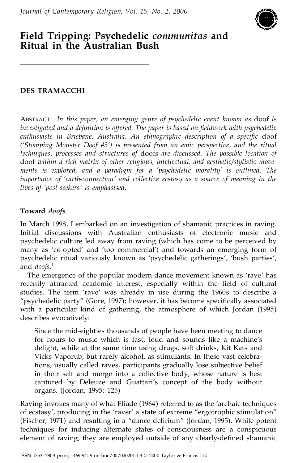

# **Field Tripping: Psychedelic** *communitas* **and Ritual in the Australian Bush**

### **DES TRAMACCHI**

ABSTRACT *In this paper, an emerging genre of psychedelic event known as* doof *is investigated and a de®nition is offered. The paper is based on ®eldwork with psychedelic enthusiasts in Brisbane, Australia. An ethnographic description of a speci®c* doof *(`Stomping Monster Doof #3') is presented from an emic perspective, and the ritual techniques, processes and structures of* doofs *are discussed. The possible location of* doof *within a rich matrix of other religious, intellectual, and aesthetic/stylistic move ments is explored, and a paradigm for a `psychedelic morality' is outlined. The importance of `earth-connection' and collective ecstasy as a source of meaning in the lives of `post-seekers' is emphasised.*

### **Toward** *doofs*

In March 1998, I embarked on an investigation of shamanic practices in raving. Initial discussions with Australian enthusiasts of electronic music and psychedelic culture led away from raving (which has come to be perceived by many as 'co-opted' and 'too commercial') and towards an emerging form of psychedelic ritual variously known as `psychedelic gatherings', `bush parties', and *doofs*.<sup>1</sup>

The emergence of the popular modern dance movement known as 'rave' has recently attracted academic interest, especially within the field of cultural studies. The term 'rave' was already in use during the 1960s to describe a "psychedelic party" (Gore, 1997); however, it has become specifically associated with a particular kind of gathering, the atmosphere of which Jordan (1995) describes evocatively:

Since the mid-eighties thousands of people have been meeting to dance for hours to music which is fast, loud and sounds like a machine's delight, while at the same time using drugs, soft drinks, Kit Kats and Vicks Vaporub, but rarely alcohol, as stimulants. In these vast celebrations, usually called raves, participants gradually lose subjective belief in their self and merge into a collective body, whose nature is best captured by Deleuze and Guattari's concept of the body without organs. (Jordan, 1995: 125)

Raving invokes many of what Eliade (1964) referred to as the 'archaic techniques of ecstasy', producing in the 'raver' a state of extreme "ergotrophic stimulation" (Fischer, 1971) and resulting in a "dance delirium" (Jordan, 1995). While potent techniques for inducing alternate states of consciousness are a conspicuous element of raving, they are employed outside of any clearly-defined shamanic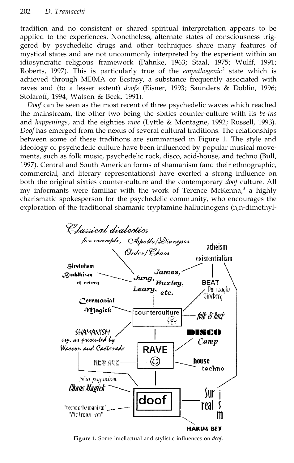tradition and no consistent or shared spiritual interpretation appears to be applied to the experiences. Nonetheless, alternate states of consciousness trig gered by psychedelic drugs and other techniques share many features of mystical states and are not uncommonly interpreted by the experient within an idiosyncratic religious framework (Pahnke, 1963; Staal, 1975; Wulff, 1991; Roberts, 1997). This is particularly true of the *empathogenic*<sup>2</sup> state which is achieved through MDMA or Ecstasy, a substance frequently associated with raves and (to a lesser extent) *doofs* (Eisner, 1993; Saunders & Doblin, 1996; Stolaroff, 1994; Watson & Beck, 1991).

*Doof* can be seen as the most recent of three psychedelic waves which reached the mainstream, the other two being the sixties counter-culture with its *be-ins* and *happenings*, and the eighties *rave* (Lyttle & Montagne, 1992; Russell, 1993). *Doof* has emerged from the nexus of several cultural traditions. The relationships between some of these traditions are summarised in Figure 1. The style and ideology of psychedelic culture have been influenced by popular musical movements, such as folk music, psychedelic rock, disco, acid-house, and techno (Bull, 1997). Central and South American forms of shamanism (and their ethnographic, commercial, and literary representations) have exerted a strong influence on both the original sixties counter-culture and the contemporary *doof* culture. All my informants were familiar with the work of Terence McKenna, $3$  a highly charismatic spokesperson for the psychedelic community, who encourages the exploration of the traditional shamanic tryptamine hallucinogens (n,n-dimethyl-



Figure 1. Some intellectual and stylistic influences on *doof*.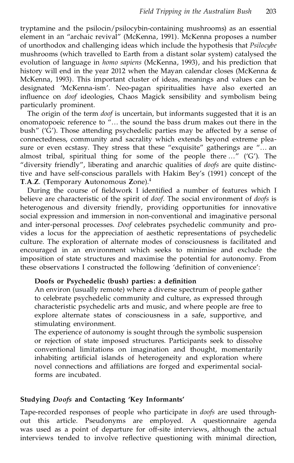tryptamine and the psilocin/psilocybin-containing mushrooms) as an essential element in an "archaic revival" (McKenna, 1991). McKenna proposes a number of unorthodox and challenging ideas which include the hypothesis that *Psilocybe* mushrooms (which travelled to Earth from a distant solar system) catalysed the evolution of language in *homo sapiens* (McKenna, 1993), and his prediction that history will end in the year 2012 when the Mayan calendar closes (McKenna & McKenna, 1993). This important cluster of ideas, meanings and values can be designated `McKenna-ism'. Neo-pagan spiritualities have also exerted an influence on *doof* ideologies, Chaos Magick sensibility and symbolism being particularly prominent.

The origin of the term *doof* is uncertain, but informants suggested that it is an onomatopoeic reference to "... the sound the bass drum makes out there in the bush" ( $'\overline{G}$ ). Those attending psychedelic parties may be affected by a sense of connectedness, community and sacrality which extends beyond extreme plea sure or even ecstasy. They stress that these "exquisite" gatherings are "... an almost tribal, spiritual thing for some of the people there  $\ldots$ " ('G'). The ª diversity friendlyº , liberating and anarchic qualities of *doofs* are quite distinctive and have self-conscious parallels with Hakim Bey's (1991) concept of the **T**.**A**.**Z**. (**T**emporary **A**utonomous **Z**one).<sup>4</sup>

During the course of fieldwork I identified a number of features which I believe are characteristic of the spirit of *doof*. The social environment of *doofs* is heterogenous and diversity friendly, providing opportunities for innovative social expression and immersion in non-conventional and imaginative personal and inter-personal processes. *Doof* celebrates psychedelic community and pro vides a locus for the appreciation of aesthetic representations of psychedelic culture. The exploration of alternate modes of consciousness is facilitated and encouraged in an environment which seeks to minimise and exclude the imposition of state structures and maximise the potential for autonomy. From these observations I constructed the following 'definition of convenience':

#### **Doofs or Psychedelic (bush) parties: a de®nition**

An environ (usually remote) where a diverse spectrum of people gather to celebrate psychedelic community and culture, as expressed through characteristic psychedelic arts and music, and where people are free to explore alternate states of consciousness in a safe, supportive, and stimulating environment.

The experience of autonomy is sought through the symbolic suspension or rejection of state imposed structures. Participants seek to dissolve conventional limitations on imagination and thought, momentarily inhabiting artificial islands of heterogeneity and exploration where novel connections and affiliations are forged and experimental socialforms are incubated.

#### **Studying** *Doofs* **and Contacting `Key Informants'**

Tape-recorded responses of people who participate in *doofs* are used through out this article. Pseudonyms are employed. A questionnaire agenda was used as a point of departure for off-site interviews, although the actual interviews tended to involve reflective questioning with minimal direction,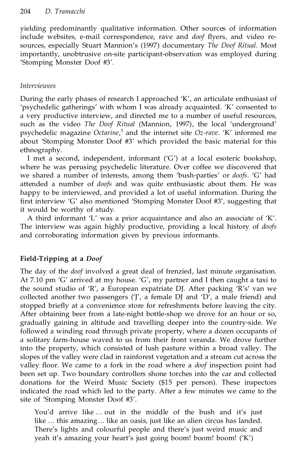yielding predominantly qualitative information. Other sources of information include websites, e-mail correspondence, rave and *doof* flyers, and video resources, especially Stuart Mannion's (1997) documentary *The Doof Ritual*. Most importantly, unobtrusive on-site participant-observation was employed during `Stomping Monster Doof #3'.

#### *Interviewees*

During the early phases of research I approached 'K', an articulate enthusiast of `psychedelic gatherings' with whom I was already acquainted. `K' consented to a very productive interview, and directed me to a number of useful resources, such as the video *The Doof Ritual* (Mannion, 1997), the local 'underground' psychedelic magazine *Octarine*,<sup>5</sup> and the internet site *Oz-rave*. `K' informed me about 'Stomping Monster Doof #3' which provided the basic material for this ethnography.

I met a second, independent, informant ('G') at a local esoteric bookshop, where he was perusing psychedelic literature. Over coffee we discovered that we shared a number of interests, among them 'bush-parties' or *doofs*. 'G' had attended a number of *doofs* and was quite enthusiastic about them. He was happy to be interviewed, and provided a lot of useful information. During the first interview 'G' also mentioned 'Stomping Monster Doof #3', suggesting that it would be worthy of study.

A third informant 'L' was a prior acquaintance and also an associate of 'K'. The interview was again highly productive, providing a local history of *doofs* and corroborating information given by previous informants.

## **Field-Tripping at a** *Doof*

The day of the *doof* involved a great deal of frenzied, last minute organisation. At 7.10 pm  $'G'$  arrived at my house.  $'G'$ , my partner and I then caught a taxi to the sound studio of 'R', a European expatriate DJ. After packing 'R's' van we collected another two passengers  $(T, a$  female DJ and  $D'$ , a male friend) and stopped briefly at a convenience store for refreshments before leaving the city. After obtaining beer from a late-night bottle-shop we drove for an hour or so, gradually gaining in altitude and travelling deeper into the country-side. We followed a winding road through private property, where a dozen occupants of a solitary farm-house waved to us from their front veranda. We drove further into the property, which consisted of lush pasture within a broad valley. The slopes of the valley were clad in rainforest vegetation and a stream cut across the valley floor. We came to a fork in the road where a *doof* inspection point had been set up. Two boundary controllers shone torches into the car and collected donations for the Weird Music Society (\$15 per person). These inspectors indicated the road which led to the party. After a few minutes we came to the site of 'Stomping Monster Doof #3'.

You'd arrive like ... out in the middle of the bush and it's just like ... this amazing... like an oasis, just like an alien circus has landed. There's lights and colourful people and there's just weird music and yeah it's amazing your heart's just going boom! boom! boom! (`K')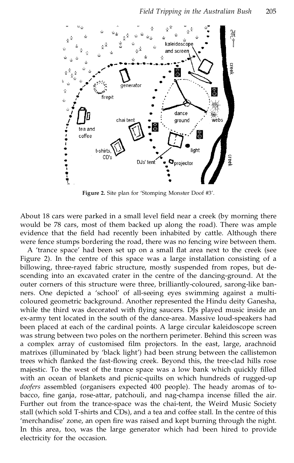

Figure 2. Site plan for 'Stomping Monster Doof #3'.

About 18 cars were parked in a small level field near a creek (by morning there would be 78 cars, most of them backed up along the road). There was ample evidence that the field had recently been inhabited by cattle. Although there were fence stumps bordering the road, there was no fencing wire between them.

A 'trance space' had been set up on a small flat area next to the creek (see Figure 2). In the centre of this space was a large installation consisting of a billowing, three-rayed fabric structure, mostly suspended from ropes, but de scending into an excavated crater in the centre of the dancing-ground. At the outer corners of this structure were three, brilliantly-coloured, sarong-like ban ners. One depicted a 'school' of all-seeing eyes swimming against a multicoloured geometric background. Another represented the Hindu deity Ganesha, while the third was decorated with flying saucers. DJs played music inside an ex-army tent located in the south of the dance-area. Massive loud-speakers had been placed at each of the cardinal points. A large circular kaleidoscope screen was strung between two poles on the northern perimeter. Behind this screen was a complex array of customised film projectors. In the east, large, arachnoid matrixes (illuminated by 'black light') had been strung between the callistemon trees which flanked the fast-flowing creek. Beyond this, the tree-clad hills rose majestic. To the west of the trance space was a low bank which quickly filled with an ocean of blankets and picnic-quilts on which hundreds of rugged-up *doofers* assembled (organisers expected 400 people). The heady aromas of to bacco, fine ganja, rose-attar, patchouli, and nag-champa incense filled the air. Further out from the trance-space was the chai-tent, the Weird Music Society stall (which sold T-shirts and CDs), and a tea and coffee stall. In the centre of this 'merchandise' zone, an open fire was raised and kept burning through the night. In this area, too, was the large generator which had been hired to provide electricity for the occasion.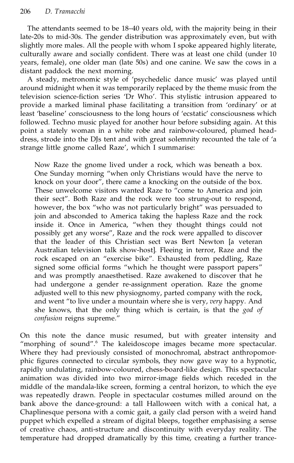The attendants seemed to be 18-40 years old, with the majority being in their late-20s to mid-30s. The gender distribution was approximately even, but with slightly more males. All the people with whom I spoke appeared highly literate, culturally aware and socially confident. There was at least one child (under 10 years, female), one older man (late 50s) and one canine. We saw the cows in a distant paddock the next morning.

A steady, metronomic style of 'psychedelic dance music' was played until around midnight when it was temporarily replaced by the theme music from the television science-fiction series 'Dr Who'. This stylistic intrusion appeared to provide a marked liminal phase facilitating a transition from 'ordinary' or at least 'baseline' consciousness to the long hours of 'ecstatic' consciousness which followed. Techno music played for another hour before subsiding again. At this point a stately woman in a white robe and rainbow-coloured, plumed head dress, strode into the DJs tent and with great solemnity recounted the tale of 'a strange little gnome called Raze', which I summarise:

Now Raze the gnome lived under a rock, which was beneath a box. One Sunday morning ªwhen only Christians would have the nerve to knock on your door", there came a knocking on the outside of the box. These unwelcome visitors wanted Raze to <sup>"</sup>come to America and join their sect". Both Raze and the rock were too strung-out to respond, however, the box "who was not particularly bright" was persuaded to join and absconded to America taking the hapless Raze and the rock inside it. Once in America, ª when they thought things could not possibly get any worse", Raze and the rock were appalled to discover that the leader of this Christian sect was Bert Newton [a veteran Australian television talk show-host]. Fleeing in terror, Raze and the rock escaped on an "exercise bike". Exhausted from peddling, Raze signed some official forms "which he thought were passport papers" and was promptly anaesthetised. Raze awakened to discover that he had undergone a gender re-assignment operation. Raze the gnome adjusted well to this new physiognomy, parted company with the rock, and went "to live under a mountain where she is very, *very* happy. And she knows, that the only thing which is certain, is that the *god of confusion* reigns supreme."

On this note the dance music resumed, but with greater intensity and "morphing of sound".<sup>6</sup> The kaleidoscope images became more spectacular. Where they had previously consisted of monochromal, abstract anthropomorphic figures connected to circular symbols, they now gave way to a hypnotic, rapidly undulating, rainbow-coloured, chess-board-like design. This spectacular animation was divided into two mirror-image fields which receded in the middle of the mandala-like screen, forming a central horizon, to which the eye was repeatedly drawn. People in spectacular costumes milled around on the bank above the dance-ground: a tall Halloween witch with a conical hat, a Chaplinesque persona with a comic gait, a gaily clad person with a weird hand puppet which expelled a stream of digital bleeps, together emphasising a sense of creative chaos, anti-structure and discontinuity with everyday reality. The temperature had dropped dramatically by this time, creating a further trance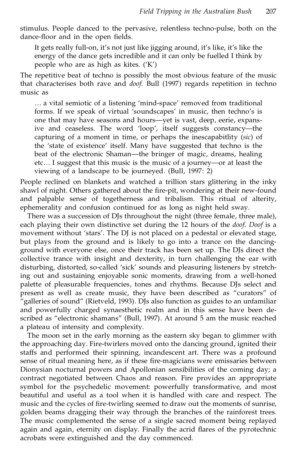stimulus. People danced to the pervasive, relentless techno-pulse, both on the dance-floor and in the open fields.

It gets really full-on, it's not just like jigging around, it's like, it's like the energy of the dance gets incredible and it can only be fuelled I think by people who are as high as kites.  $(K')$ 

The repetitive beat of techno is possibly the most obvious feature of the music that characterises both rave and *doof*. Bull (1997) regards repetition in techno music as

... a vital semiotic of a listening 'mind-space' removed from traditional forms. If we speak of virtual 'soundscapes' in music, then techno's is one that may have seasons and hours—yet is vast, deep, eerie, expansive and ceaseless. The word 'loop', itself suggests constancy—the capturing of a moment in time, or perhaps the inescapabitlity (*sic*) of the `state of existence' itself. Many have suggested that techno is the beat of the electronic Shaman—the bringer of magic, dreams, healing etc... I suggest that this music is the music of a journey—or at least the viewing of a landscape to be journeyed. (Bull, 1997: 2)

People reclined on blankets and watched a trillion stars glittering in the inky shawl of night. Others gathered about the fire-pit, wondering at their new-found and palpable sense of togetherness and tribalism. This ritual of alterity, ephemerality and confusion continued for as long as night held sway.

There was a succession of DJs throughout the night (three female, three male), each playing their own distinctive set during the 12 hours of the *doof*. *Doof* is a movement without 'stars'. The DJ is not placed on a pedestal or elevated stage, but plays from the ground and is likely to go into a trance on the dancing ground with everyone else, once their track has been set up. The DJs direct the collective trance with insight and dexterity, in turn challenging the ear with disturbing, distorted, so-called 'sick' sounds and pleasuring listeners by stretching out and sustaining enjoyable sonic moments, drawing from a well-honed palette of pleasurable frequencies, tones and rhythms. Because DJs select and present as well as create music, they have been described as "curators" of <sup>2</sup> galleries of sound" (Rietveld, 1993). DJs also function as guides to an unfamiliar and powerfully charged synaesthetic realm and in this sense have been de scribed as "electronic shamans" (Bull, 1997). At around 5 am the music reached a plateau of intensity and complexity.

The moon set in the early morning as the eastern sky began to glimmer with the approaching day. Fire-twirlers moved onto the dancing ground, ignited their staffs and performed their spinning, incandescent art. There was a profound sense of ritual meaning here, as if these fire-magicians were emissaries between Dionysian nocturnal powers and Apollonian sensibilities of the coming day; a contract negotiated between Chaos and reason. Fire provides an appropriate symbol for the psychedelic movement: powerfully transformative, and most beautiful and useful as a tool when it is handled with care and respect. The music and the cycles of fire-twirling seemed to draw out the moments of sunrise, golden beams dragging their way through the branches of the rainforest trees. The music complemented the sense of a single sacred moment being replayed  $a$ gain and  $a$ gain, eternity on display. Finally the acrid flares of the pyrotechnic acrobats were extinguished and the day commenced.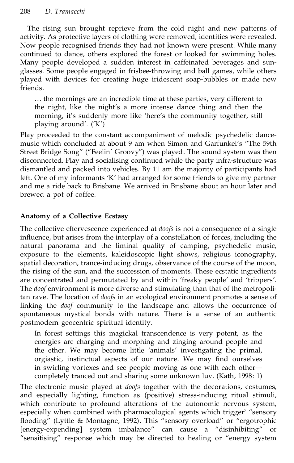The rising sun brought reprieve from the cold night and new patterns of activity. As protective layers of clothing were removed, identities were revealed. Now people recognised friends they had not known were present. While many continued to dance, others explored the forest or looked for swimming holes. Many people developed a sudden interest in caffeinated beverages and sun glasses. Some people engaged in frisbee-throwing and ball games, while others played with devices for creating huge iridescent soap-bubbles or made new friends.

... the mornings are an incredible time at these parties, very different to the night, like the night's a more intense dance thing and then the morning, it's suddenly more like 'here's the community together, still playing around'.  $({K})$ 

Play proceeded to the constant accompaniment of melodic psychedelic dance music which concluded at about 9 am when Simon and Garfunkel's "The 59th Street Bridge Song" ("Feelin' Groovy") was played. The sound system was then disconnected. Play and socialising continued while the party infra-structure was dismantled and packed into vehicles. By 11 am the majority of participants had left. One of my informants 'K' had arranged for some friends to give my partner and me a ride back to Brisbane. We arrived in Brisbane about an hour later and brewed a pot of coffee.

## **Anatomy of a Collective Ecstasy**

The collective effervescence experienced at *doofs* is not a consequence of a single influence, but arises from the interplay of a constellation of forces, including the natural panorama and the liminal quality of camping, psychedelic music, exposure to the elements, kaleidoscopic light shows, religious iconography, spatial decoration, trance-inducing drugs, observance of the course of the moon, the rising of the sun, and the succession of moments. These ecstatic ingredients are concentrated and permutated by and within 'freaky people' and 'trippers'. The *doof* environment is more diverse and stimulating than that of the metropolitan rave. The location of *doofs* in an ecological environment promotes a sense of linking the *doof* community to the landscape and allows the occurrence of spontaneous mystical bonds with nature. There is a sense of an authentic postmodern geocentric spiritual identity.

In forest settings this magickal transcendence is very potent, as the energies are charging and morphing and zinging around people and the ether. We may become little `animals' investigating the primal, orgiastic, instinctual aspects of our nature. We may find ourselves in swirling vortexes and see people moving as one with each other completely tranced out and sharing some unknown luv. (Kath, 1998: 1)

The electronic music played at *doofs* together with the decorations, costumes, and especially lighting, function as (positive) stress-inducing ritual stimuli, which contribute to profound alterations of the autonomic nervous system, especially when combined with pharmacological agents which trigger<sup>7</sup> "sensory flooding" (Lyttle & Montagne, 1992). This "sensory overload" or "ergotrophic [energy-expending] system imbalance" can cause a "disinhibiting" or "sensitising" response which may be directed to healing or "energy system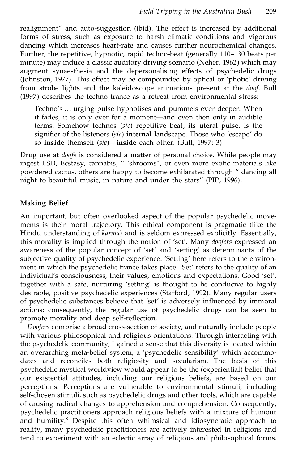realignment" and auto-suggestion (ibid). The effect is increased by additional forms of stress, such as exposure to harsh climatic conditions and vigorous dancing which increases heart-rate and causes further neurochemical changes. Further, the repetitive, hypnotic, rapid techno-beat (generally 110-130 beats per minute) may induce a classic auditory driving scenario (Neher, 1962) which may augment synaesthesia and the depersonalising effects of psychedelic drugs (Johnston, 1977). This effect may be compounded by optical or `photic' driving from strobe lights and the kaleidoscope animations present at the *doof*. Bull (1997) describes the techno trance as a retreat from environmental stress:

Techno's ... urging pulse hypnotises and pummels ever deeper. When it fades, it is only ever for a moment—and even then only in audible terms. Somehow technos (*sic*) repetitive beat, its uteral pulse, is the signifier of the listeners (sic) **internal** landscape. Those who 'escape' do so **inside** themself (*sic*)—inside each other. (Bull, 1997: 3)

Drug use at *doofs* is considered a matter of personal choice. While people may ingest LSD, Ecstasy, cannabis, " 'shrooms", or even more exotic materials like powdered cactus, others are happy to become exhilarated through " dancing all night to beautiful music, in nature and under the stars" (PIP,  $1996$ ).

### **Making Belief**

An important, but often overlooked aspect of the popular psychedelic move ments is their moral trajectory. This ethical component is pragmatic (like the Hindu understanding of *karma*) and is seldom expressed explicitly. Essentially, this morality is implied through the notion of 'set'. Many *doofers* expressed an awareness of the popular concept of 'set' and 'setting' as determinants of the subjective quality of psychedelic experience. 'Setting' here refers to the environment in which the psychedelic trance takes place. 'Set' refers to the quality of an individual's consciousness, their values, emotions and expectations. Good 'set', together with a safe, nurturing 'setting' is thought to be conducive to highly desirable, positive psychedelic experiences (Stafford, 1992). Many regular users of psychedelic substances believe that 'set' is adversely influenced by immoral actions; consequently, the regular use of psychedelic drugs can be seen to promote morality and deep self-reflection.

*Doofers* comprise a broad cross-section of society, and naturally include people with various philosophical and religious orientations. Through interacting with the psychedelic community, I gained a sense that this diversity is located within an overarching meta-belief system, a 'psychedelic sensibility' which accommodates and reconciles both religiosity and secularism. The basis of this psychedelic mystical worldview would appear to be the (experiential) belief that our existential attitudes, including our religious beliefs, are based on our perceptions. Perceptions are vulnerable to environmental stimuli, including self-chosen stimuli, such as psychedelic drugs and other tools, which are capable of causing radical changes to apprehension and comprehension. Consequently, psychedelic practitioners approach religious beliefs with a mixture of humour and humility.<sup>8</sup> Despite this often whimsical and idiosyncratic approach to reality, many psychedelic practitioners are actively interested in religions and tend to experiment with an eclectic array of religious and philosophical forms.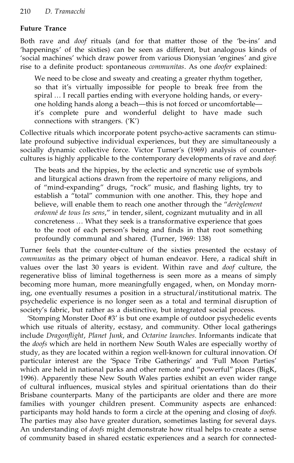### **Future Trance**

Both rave and *doof* rituals (and for that matter those of the `be-ins' and 'happenings' of the sixties) can be seen as different, but analogous kinds of 'social machines' which draw power from various Dionysian 'engines' and give rise to a definite product: spontaneous *communitas*. As one *doofer* explained:

We need to be close and sweaty and creating a greater rhythm together, so that it's virtually impossible for people to break free from the spiral ... I recall parties ending with everyone holding hands, or everyone holding hands along a beach—this is not forced or uncomfortable it's complete pure and wonderful delight to have made such connections with strangers.  $(K')$ 

Collective rituals which incorporate potent psycho-active sacraments can stimulate profound subjective individual experiences, but they are simultaneously a socially dynamic collective force. Victor Turner's (1969) analysis of countercultures is highly applicable to the contemporary developments of rave and *doof*:

The beats and the hippies, by the eclectic and syncretic use of symbols and liturgical actions drawn from the repertoire of many religions, and of "mind-expanding" drugs, "rock" music, and flashing lights, try to establish a "total" communion with one another. This, they hope and believe, will enable them to reach one another through the "dereglement" *ordonné de tous les sens,"* in tender, silent, cognizant mutuality and in all concreteness ... What they seek is a transformative experience that goes to the root of each person's being and finds in that root something profoundly communal and shared. (Turner, 1969: 138)

Turner feels that the counter-culture of the sixties presented the ecstasy of *communitas* as the primary object of human endeavor. Here, a radical shift in values over the last 30 years is evident. Within rave and *doof* culture, the regenerative bliss of liminal togetherness is seen more as a means of simply becoming more human, more meaningfully engaged, when, on Monday morning, one eventually resumes a position in a structural/institutional matrix. The psychedelic experience is no longer seen as a total and terminal disruption of society's fabric, but rather as a distinctive, but integrated social process.

`Stomping Monster Doof #3' is but one example of outdoor psychedelic events which use rituals of alterity, ecstasy, and community. Other local gatherings *include Dragonflight, Planet Junk, and Octarine launches*. Informants indicate that the *doofs* which are held in northern New South Wales are especially worthy of study, as they are located within a region well-known for cultural innovation. Of particular interest are the 'Space Tribe Gatherings' and 'Full Moon Parties' which are held in national parks and other remote and "powerful" places (BigK, 1996). Apparently these New South Wales parties exhibit an even wider range of cultural influences, musical styles and spiritual orientations than do their Brisbane counterparts. Many of the participants are older and there are more families with younger children present. Community aspects are enhanced: participants may hold hands to form a circle at the opening and closing of *doofs*. The parties may also have greater duration, sometimes lasting for several days. An understanding of *doofs* might demonstrate how ritual helps to create a sense of community based in shared ecstatic experiences and a search for connected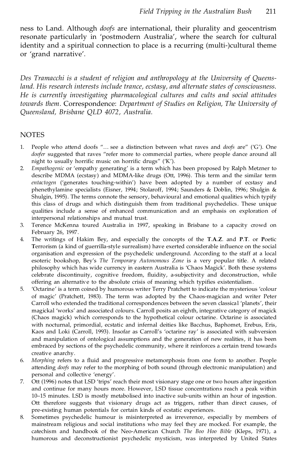ness to Land. Although *doofs* are international, their plurality and geocentrism resonate particularly in 'postmodern Australia', where the search for cultural identity and a spiritual connection to place is a recurring (multi-)cultural theme or `grand narrative'.

*Des Tramacchi is a student of religion and anthropology at the University of Queensland. His research interests include trance, ecstasy, and alternate states of consciousness. He is currently investigating pharmacological cultures and cults and social attitudes towards them.* Correspondence: *Department of Studies on Religion, The University of Queensland, Brisbane QLD 4072, Australia.*

#### NOTES

- 1. People who attend doofs "... see a distinction between what raves and *doofs* are" ('G'). One doofer suggested that raves "refer more to commercial parties, where people dance around all night to usually horrific music on horrific drugs" ('K').
- 2. *Empathogenic* or 'empathy generating' is a term which has been proposed by Ralph Metzner to describe MDMA (ecstasy) and MDMA-like drugs (Ott, 1996). This term and the similar term *entactogen* ('generates touching-within') have been adopted by a number of ecstasy and phenethylamine specialists (Eisner, 1994; Stolaroff, 1994; Saunders & Doblin, 1996; Shulgin & Shulgin, 1995). The terms connote the sensory, behavioural and emotional qualities which typify this class of drugs and which distinguish them from traditional psychedelics. These unique qualities include a sense of enhanced communication and an emphasis on exploration of interpersonal relationships and mutual trust.
- 3. Terence McKenna toured Australia in 1997, speaking in Brisbane to a capacity crowd on February 26, 1997.
- 4. The writings of Hakim Bey, and especially the concepts of the **T**.**A**.**Z**. and **P**.**T**. or **P**oetic Terrorism (a kind of guerrilla-style surrealism) have exerted considerable influence on the social organisation and expression of the psychedelic underground. According to the staff at a local esoteric bookshop, Bey's *The Temporary Autonomous Zone* is a very popular title. A related philosophy which has wide currency in eastern Australia is 'Chaos Magick'. Both these systems celebrate discontinuity, cognitive freedom, fluidity, a-subjectivity and deconstruction, while offering an alternative to the absolute crisis of meaning which typifies existentialism.
- 5. `Octarine' is a term coined by humorous writer Terry Pratchett to indicate the mysterious `colour of magic' (Pratchett, 1983). The term was adopted by the Chaos-magician and writer Peter Carroll who extended the traditional correspondences between the seven classical `planets', their magickal `works' and associated colours. Carroll posits an eighth, integrative category of magick (Chaos magick) which corresponds to the hypothetical colour octarine. Octarine is associated with nocturnal, primordial, ecstatic and infernal deities like Bacchus, Baphomet, Erebus, Eris, Kaos and Loki (Carroll, 1993). Insofar as Carroll's 'octarine ray' is associated with subversion and manipulation of ontological assumptions and the generation of new realities, it has been embraced by sections of the psychedelic community, where it reinforces a certain trend towards creative anarchy.
- 6. *Morphing* refers to a fluid and progressive metamorphosis from one form to another. People attending *doofs* may refer to the morphing of both sound (through electronic manipulation) and personal and collective 'energy'.
- 7. Ott (1996) notes that LSD 'trips' reach their most visionary stage one or two hours after ingestion and continue for many hours more. However, LSD tissue concentrations reach a peak within 10-15 minutes. LSD is mostly metabolised into inactive sub-units within an hour of ingestion. Ott therefore suggests that visionary drugs act as triggers, rather than direct causes, of pre-existing human potentials for certain kinds of ecstatic experiences.
- 8. Sometimes psychedelic humour is misinterpreted as irreverence, especially by members of mainstream religious and social institutions who may feel they are mocked. For example, the catechism and handbook of the Neo-American Church *The Boo Hoo Bible* (Kleps, 1971), a humorous and deconstructionist psychedelic mysticism, was interpreted by United States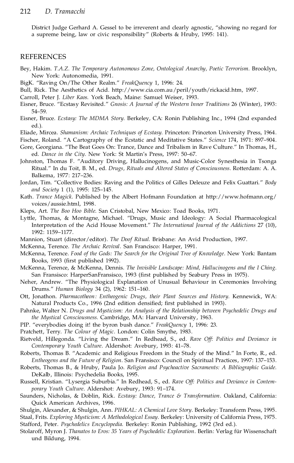District Judge Gerhard A. Gessel to be irreverent and clearly agnostic, ª showing no regard for a supreme being, law or civic responsibility" (Roberts & Hruby, 1995: 141).

#### REFERENCES

- Bey, Hakim. *T.A.Z. The Temporary Autonomous Zone, Ontological Anarchy, Poetic Terrorism.* Brooklyn, New York: Autonomedia, 1991.
- BigK. "Raving On/The Other Realm." FreakQuency 1, 1996: 24.
- Bull, Rick. The Aesthetics of Acid. http://www.cia.com.au/peril/youth/rickacid.htm, 1997.
- Carroll, Peter J. *Liber Kaos.* York Beach, Maine: Samuel Weiser, 1993.
- Eisner, Bruce. ª Ecstasy Revisited.º *Gnosis: A Journal of the Western Inner Traditions* 26 (Winter), 1993: 54±59.
- Eisner, Bruce. *Ecstasy: The MDMA Story.* Berkeley, CA: Ronin Publishing Inc., 1994 (2nd expanded ed.).
- Eliade, Mircea. *Shamanism: Archaic Techniques of Ecstasy.* Princeton: Princeton University Press, 1964.
- Fischer, Roland. "A Cartography of the Ecstatic and Meditative States." Science 174, 1971: 897-904. Gore, Georgiana. "The Beat Goes On: Trance, Dance and Tribalism in Rave Culture." In Thomas, H.,
- ed. *Dance in the City*. New York: St Martin's Press, 1997: 50-67.
- Johnston, Thomas F. ªAuditory Driving, Hallucinogens, and Music-Color Synesthesia in Tsonga Ritual.º In du Toit, B. M., ed. *Drugs, Rituals and Altered States of Consciousness*. Rotterdam: A. A. Balkema, 1977: 217-236.
- Jordan, Tim. "Collective Bodies: Raving and the Politics of Gilles Deleuze and Felix Guattari." Body *and Society* 1 (1), 1995: 125-145.
- Kath. *Trance Magick.* Published by the Albert Hofmann Foundation at http://www.hofmann.org/ voices/aussie.html, 1998.
- Kleps, Art. *The Boo Hoo Bible.* San Cristobal, New Mexico: Toad Books, 1971.
- Lyttle, Thomas, & Montagne, Michael. ªDrugs, Music and Ideology: A Social Pharmacological Interpretation of the Acid House Movement.º *The International Journal of the Addictions* 27 (10), 1992: 1159±1177.
- Mannion, Stuart (director/editor). *The Doof Ritual.* Brisbane: An Avid Production, 1997.

McKenna, Terence. *The Archaic Revival.* San Francisco: Harper, 1991.

- McKenna, Terence. *Food of the Gods: The Search for the Original Tree of Knowledge.* New York: Bantam Books, 1993 (first published 1992).
- McKenna, Terence, & McKenna, Dennis. *The Invisible Landscape: Mind, Hallucinogens and the I Ching.* San Fransisco: HarperSanFransisco, 1993 (first published by Seabury Press in 1975).
- Neher, Andrew. "The Physiological Explanation of Unusual Behaviour in Ceremonies Involving Drums." *Human Biology* 34 (2), 1962: 151-160.
- Ott, Jonathon. *Pharmacotheon: Entheogenic Drugs, their Plant Sources and History*. Kennewick, WA: Natural Products Co., 1996 (2nd edition densified; first published in 1993).
- Pahnke, Walter N. *Drugs and Mysticism: An Analysis of the Relationship between Psychedelic Drugs and the Mystical Consciousness.* Cambridge, MA: Harvard University, 1963.
- PIP. "everybodies doing it! the byron bush dance." *FreakQuency* 1, 1996: 23.
- Pratchett, Terry. *The Colour of Magic.* London: Colin Smythe, 1983.
- Rietveld, Hillegonda. ªLiving the Dream.º In Redhead, S., ed. *Rave Off: Politics and Deviance in Contemporary Youth Culture. Aldershot: Avebury, 1993: 41-78.*
- Roberts, Thomas B. "Academic and Religious Freedom in the Study of the Mind." In Forte, R., ed. *Entheogens and the Future of Religion*. San Fransisco: Council on Spiritual Practices, 1997: 137-153.
- Roberts, Thomas B., & Hruby, Paula Jo. *Religion and Psychoactive Sacraments: A Bibliographic Guide.* DeKalb, Illinois: Psychedelia Books, 1995.
- Russell, Kristian. ª Lysergia Suburbia.º In Redhead, S., ed. *Rave Off: Politics and Deviance in Contem porary Youth Culture*. Aldershot: Avebury, 1993: 91-174.
- Saunders, Nicholas, & Doblin, Rick. *Ecstasy: Dance, Trance & Transformation.* Oakland, California: Quick American Archives, 1996.
- Shulgin, Alexander, & Shulgin, Ann. *PIHKAL: A Chemical Love Story.* Berkeley: Transform Press, 1995. Staal, Frits. *Exploring Mysticism: A Methodological Essay.* Berkeley: University of California Press, 1975. Stafford, Peter. *Psychedelics Encyclopedia.* Berkeley: Ronin Publishing, 1992 (3rd ed.).
- Stolaroff, Myron J. *Thanatos to Eros: 35 Years of Psychedelic Exploration*. Berlin: Verlag für Wissenschaft und Bildung, 1994.